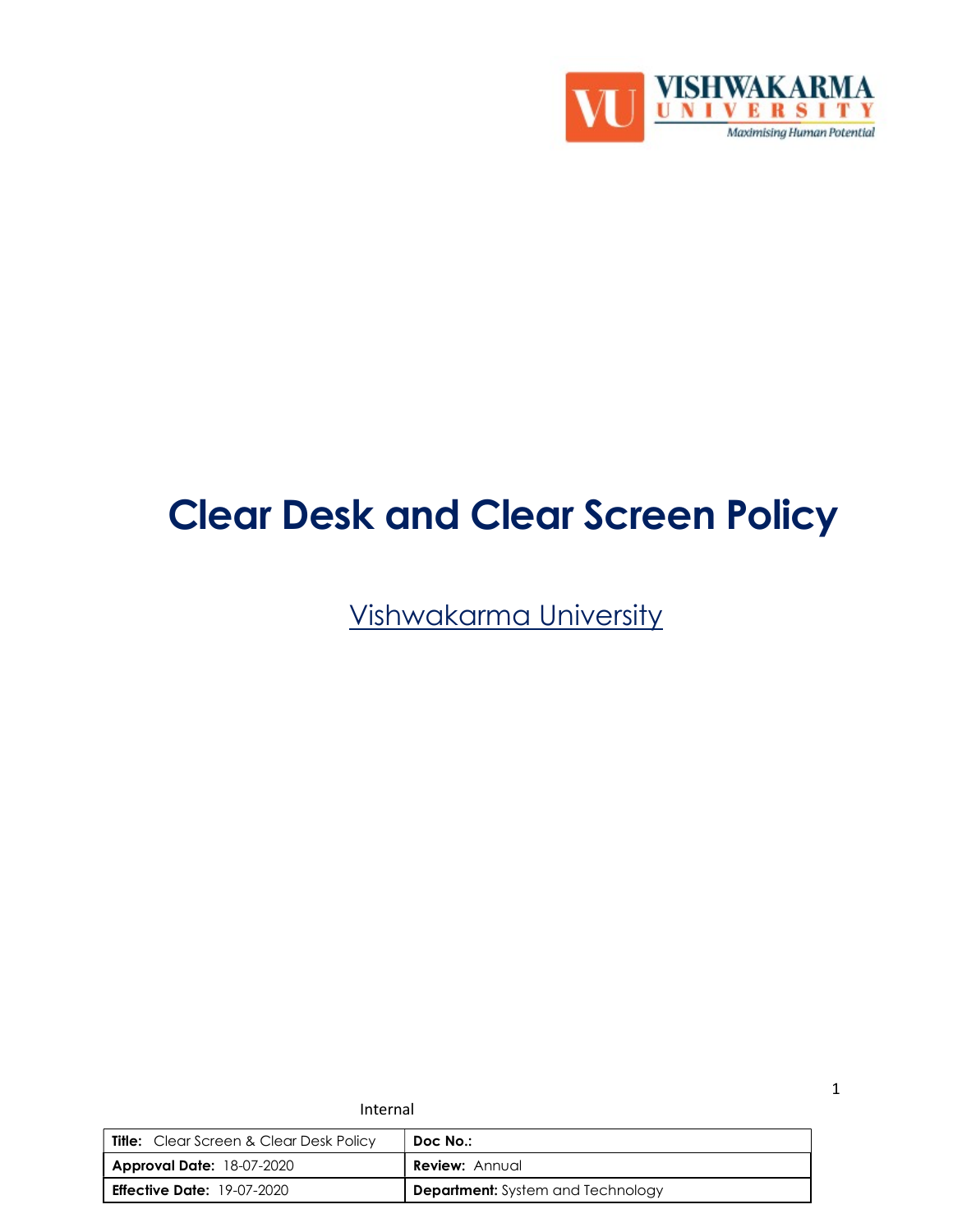

# Clear Desk and Clear Screen Policy

Vishwakarma University

| <b>Title:</b> Clear Screen & Clear Desk Policy | Doc No.:                                 |
|------------------------------------------------|------------------------------------------|
| <b>Approval Date: 18-07-2020</b>               | <b>Review: Annual</b>                    |
| <b>Effective Date:</b> 19-07-2020              | <b>Department:</b> System and Technology |

Internal

1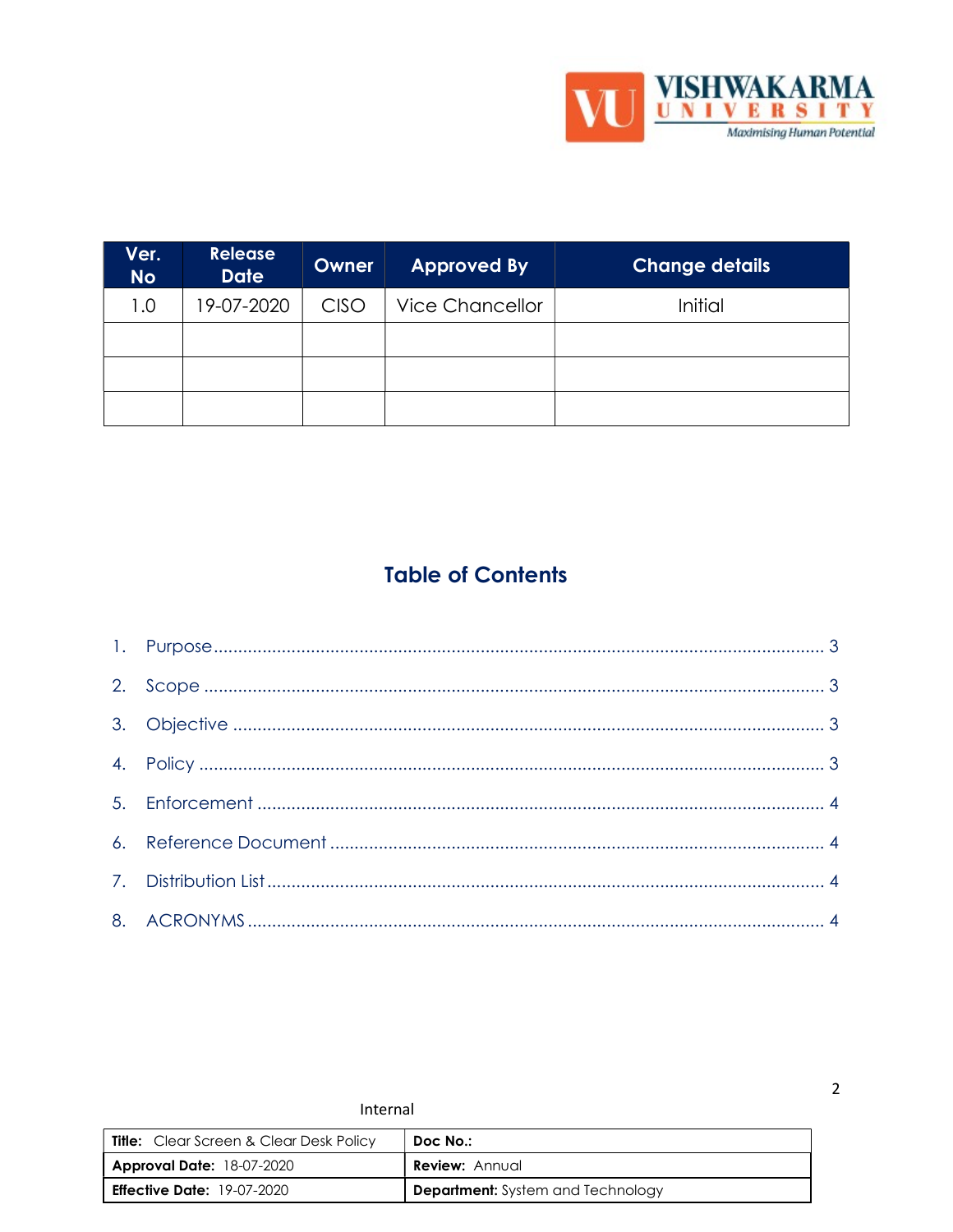

| Ver.<br><b>No</b> | <b>Release</b><br><b>Date</b> | Owner       | <b>Approved By</b>     | <b>Change details</b> |
|-------------------|-------------------------------|-------------|------------------------|-----------------------|
| 1.0               | 19-07-2020                    | <b>CISO</b> | <b>Vice Chancellor</b> | Initial               |
|                   |                               |             |                        |                       |
|                   |                               |             |                        |                       |
|                   |                               |             |                        |                       |

# **Table of Contents**

| Internal                                       |                                          |  |
|------------------------------------------------|------------------------------------------|--|
| <b>Title:</b> Clear Screen & Clear Desk Policy | Doc No.:                                 |  |
| <b>Approval Date: 18-07-2020</b>               | <b>Review: Annual</b>                    |  |
| <b>Effective Date:</b> $19-07-2020$            | <b>Department:</b> System and Technology |  |

 $\overline{2}$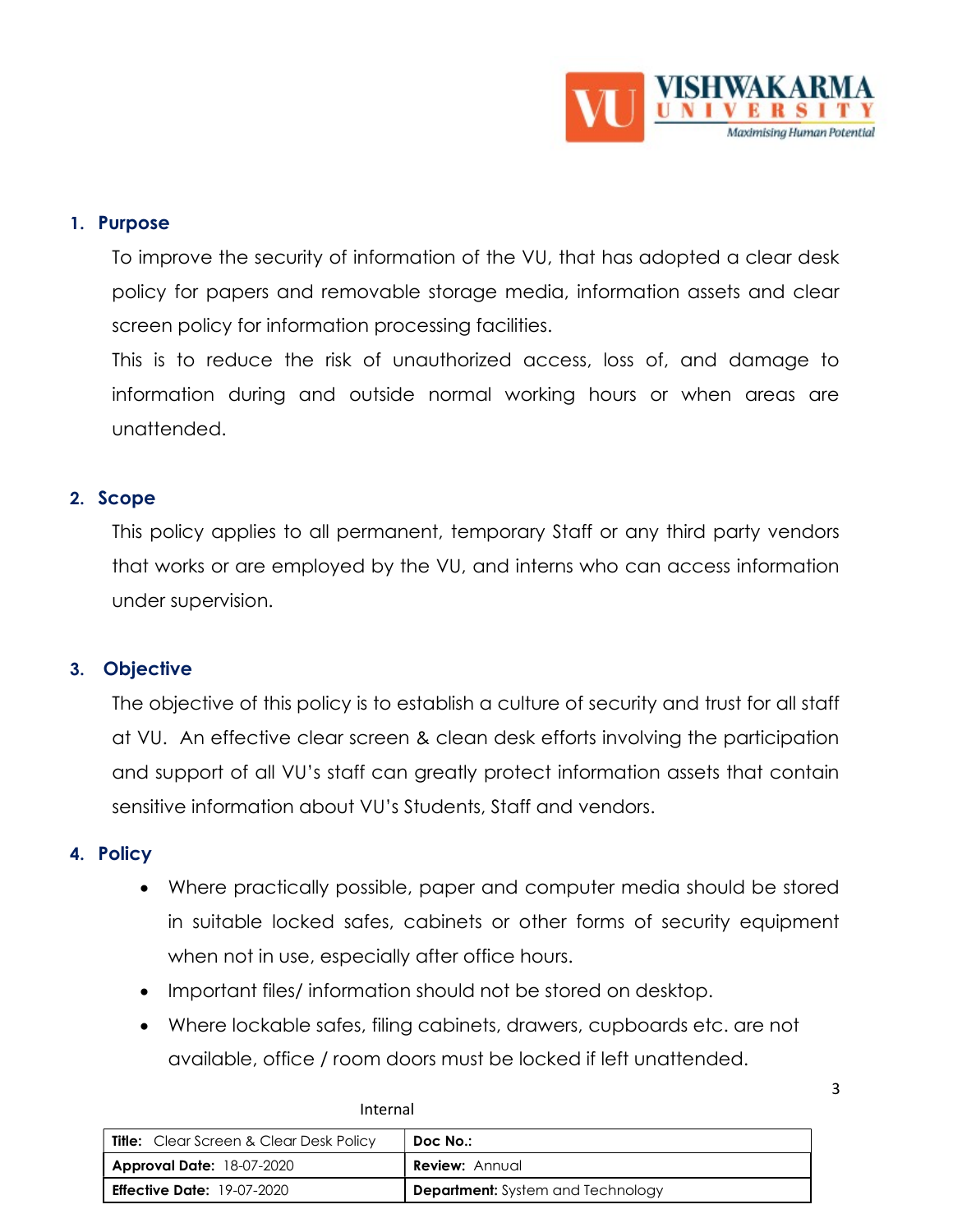

#### 1. Purpose

To improve the security of information of the VU, that has adopted a clear desk policy for papers and removable storage media, information assets and clear screen policy for information processing facilities.

This is to reduce the risk of unauthorized access, loss of, and damage to information during and outside normal working hours or when areas are unattended.

#### 2. Scope

This policy applies to all permanent, temporary Staff or any third party vendors that works or are employed by the VU, and interns who can access information under supervision.

#### 3. Objective

The objective of this policy is to establish a culture of security and trust for all staff at VU. An effective clear screen & clean desk efforts involving the participation and support of all VU's staff can greatly protect information assets that contain sensitive information about VU's Students, Staff and vendors.

#### 4. Policy

- Where practically possible, paper and computer media should be stored in suitable locked safes, cabinets or other forms of security equipment when not in use, especially after office hours.
- Important files/information should not be stored on desktop.
- Where lockable safes, filing cabinets, drawers, cupboards etc. are not available, office / room doors must be locked if left unattended.

| .                                              |                                          |
|------------------------------------------------|------------------------------------------|
| <b>Title:</b> Clear Screen & Clear Desk Policy | Doc No.:                                 |
| <b>Approval Date: 18-07-2020</b>               | <b>Review:</b> Annual                    |
| <b>Effective Date: 19-07-2020</b>              | <b>Department:</b> System and Technology |

Internal